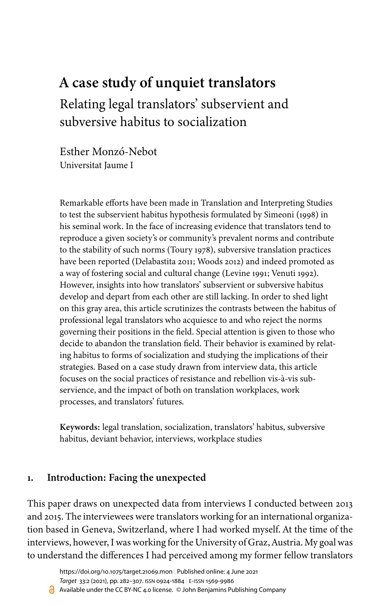# **A case study of unquiet translators**

Relating legal translators' subservient and subversive habitus to socialization

Esther Monzó-Nebot Universitat Jaume I

Remarkable efforts have been made in Translation and Interpreting Studies to test the subservient habitus hypothesis formulated by [Simeoni \(1998\)](#page-24-0) in his seminal work. In the face of increasing evidence that translators tend to reproduce a given society's or community's prevalent norms and contribute to the stability of such norms ([Toury 1978\)](#page-24-1), subversive translation practices have been reported [\(Delabastita 2011](#page-22-0); [Woods 2012](#page-25-0)) and indeed promoted as a way of fostering social and cultural change [\(Levine 1991](#page-23-0); [Venuti 1992](#page-24-2)). However, insights into how translators' subservient or subversive habitus develop and depart from each other are still lacking. In order to shed light on this gray area, this article scrutinizes the contrasts between the habitus of professional legal translators who acquiesce to and who reject the norms governing their positions in the field. Special attention is given to those who decide to abandon the translation field. Their behavior is examined by relating habitus to forms of socialization and studying the implications of their strategies. Based on a case study drawn from interview data, this article focuses on the social practices of resistance and rebellion vis-à-vis subservience, and the impact of both on translation workplaces, work processes, and translators' futures.

**Keywords:** legal translation, socialization, translators' habitus, subversive habitus, deviant behavior, interviews, workplace studies

### **1. Introduction: Facing the unexpected**

This paper draws on unexpected data from interviews I conducted between 2013 and 2015. The interviewees were translators working for an international organization based in Geneva, Switzerland, where I had worked myself. At the time of the interviews, however, I was working for the University of Graz, Austria. My goal was to understand the differences I had perceived among my former fellow translators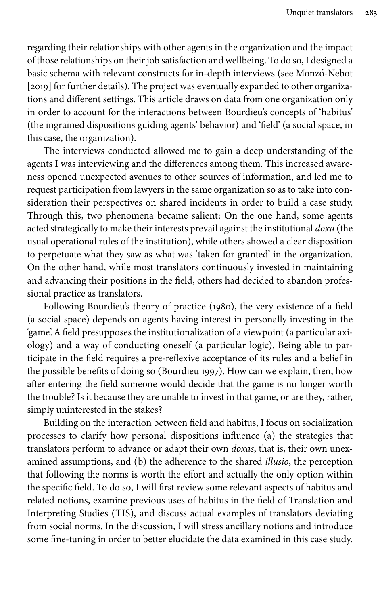regarding their relationships with other agents in the organization and the impact of those relationships on their job satisfaction and wellbeing. To do so, I designed a basic schema with relevant constructs for in-depth interviews (see [Monzó-Nebot](#page-23-1) [\[2019\]](#page-23-1) for further details). The project was eventually expanded to other organizations and different settings. This article draws on data from one organization only in order to account for the interactions between Bourdieu's concepts of 'habitus' (the ingrained dispositions guiding agents' behavior) and 'field' (a social space, in this case, the organization).

The interviews conducted allowed me to gain a deep understanding of the agents I was interviewing and the differences among them. This increased awareness opened unexpected avenues to other sources of information, and led me to request participation from lawyers in the same organization so as to take into consideration their perspectives on shared incidents in order to build a case study. Through this, two phenomena became salient: On the one hand, some agents acted strategically to make their interests prevail against the institutional *doxa* (the usual operational rules of the institution), while others showed a clear disposition to perpetuate what they saw as what was 'taken for granted' in the organization. On the other hand, while most translators continuously invested in maintaining and advancing their positions in the field, others had decided to abandon professional practice as translators.

Following Bourdieu's theory of practice [\(1980](#page-22-1)), the very existence of a field (a social space) depends on agents having interest in personally investing in the 'game'. A field presupposes the institutionalization of a viewpoint (a particular axiology) and a way of conducting oneself (a particular logic). Being able to participate in the field requires a pre-reflexive acceptance of its rules and a belief in the possible benefits of doing so [\(Bourdieu 1997\)](#page-22-2). How can we explain, then, how after entering the field someone would decide that the game is no longer worth the trouble? Is it because they are unable to invest in that game, or are they, rather, simply uninterested in the stakes?

Building on the interaction between field and habitus, I focus on socialization processes to clarify how personal dispositions influence (a) the strategies that translators perform to advance or adapt their own *doxas*, that is, their own unexamined assumptions, and (b) the adherence to the shared *illusio*, the perception that following the norms is worth the effort and actually the only option within the specific field. To do so, I will first review some relevant aspects of habitus and related notions, examine previous uses of habitus in the field of Translation and Interpreting Studies (TIS), and discuss actual examples of translators deviating from social norms. In the discussion, I will stress ancillary notions and introduce some fine-tuning in order to better elucidate the data examined in this case study.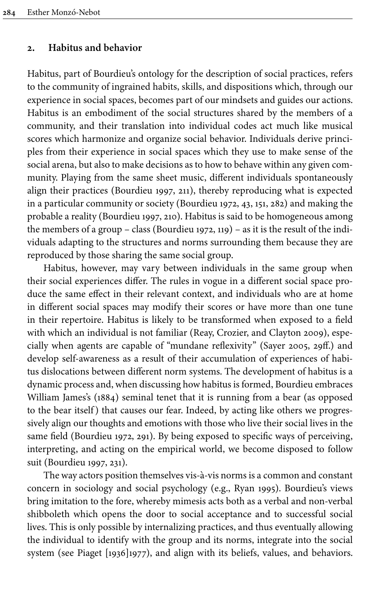#### **2. Habitus and behavior**

Habitus, part of Bourdieu's ontology for the description of social practices, refers to the community of ingrained habits, skills, and dispositions which, through our experience in social spaces, becomes part of our mindsets and guides our actions. Habitus is an embodiment of the social structures shared by the members of a community, and their translation into individual codes act much like musical scores which harmonize and organize social behavior. Individuals derive principles from their experience in social spaces which they use to make sense of the social arena, but also to make decisions as to how to behave within any given community. Playing from the same sheet music, different individuals spontaneously align their practices ([Bourdieu 1997,](#page-22-3) 211), thereby reproducing what is expected in a particular community or society ([Bourdieu 1972](#page-22-2), 43, 151, 282) and making the probable a reality ([Bourdieu 1997,](#page-22-3) 210). Habitus is said to be homogeneous among the members of a group – class [\(Bourdieu 1972,](#page-22-2) 119) – as it is the result of the individuals adapting to the structures and norms surrounding them because they are reproduced by those sharing the same social group.

Habitus, however, may vary between individuals in the same group when their social experiences differ. The rules in vogue in a different social space produce the same effect in their relevant context, and individuals who are at home in different social spaces may modify their scores or have more than one tune in their repertoire. Habitus is likely to be transformed when exposed to a field with which an individual is not familiar ([Reay, Crozier, and Clayton 2009\)](#page-24-3), especially when agents are capable of "mundane reflexivity" [\(Sayer 2005,](#page-24-4) 29ff.) and develop self-awareness as a result of their accumulation of experiences of habitus dislocations between different norm systems. The development of habitus is a dynamic process and, when discussing how habitus is formed, Bourdieu embraces William [James's \(1884\)](#page-22-4) seminal tenet that it is running from a bear (as opposed to the bear itself) that causes our fear. Indeed, by acting like others we progressively align our thoughts and emotions with those who live their social lives in the same field ([Bourdieu 1972,](#page-22-2) 291). By being exposed to specific ways of perceiving, interpreting, and acting on the empirical world, we become disposed to follow suit ([Bourdieu 1997,](#page-22-3) 231).

The way actors position themselves vis-à-vis norms is a common and constant concern in sociology and social psychology (e.g., [Ryan 1995\)](#page-24-5). Bourdieu's views bring imitation to the fore, whereby mimesis acts both as a verbal and non-verbal shibboleth which opens the door to social acceptance and to successful social lives. This is only possible by internalizing practices, and thus eventually allowing the individual to identify with the group and its norms, integrate into the social system (see [Piaget \[1936\]1977\)](#page-24-6), and align with its beliefs, values, and behaviors.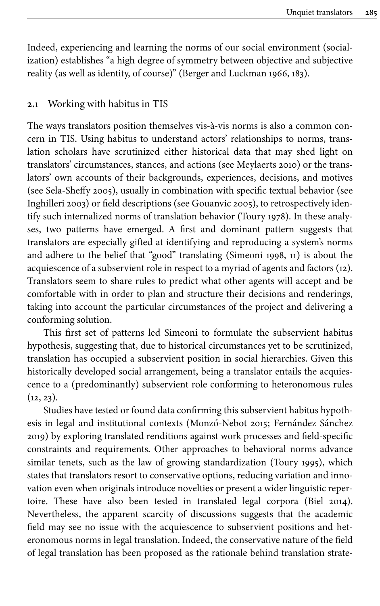Indeed, experiencing and learning the norms of our social environment (socialization) establishes "a high degree of symmetry between objective and subjective reality (as well as identity, of course)" [\(Berger and Luckman 1966](#page-22-5), 183).

### **2.1** Working with habitus in TIS

The ways translators position themselves vis-à-vis norms is also a common concern in TIS. Using habitus to understand actors' relationships to norms, translation scholars have scrutinized either historical data that may shed light on translators' circumstances, stances, and actions (see [Meylaerts 2010](#page-23-2)) or the translators' own accounts of their backgrounds, experiences, decisions, and motives (see [Sela-Sheffy](#page-24-7) 2005), usually in combination with specific textual behavior (see [Inghilleri 2003\)](#page-22-6) or field descriptions (see [Gouanvic 2005\)](#page-22-7), to retrospectively identify such internalized norms of translation behavior ([Toury 1978](#page-24-1)). In these analyses, two patterns have emerged. A first and dominant pattern suggests that translators are especially gifted at identifying and reproducing a system's norms and adhere to the belief that "good" translating ([Simeoni 1998,](#page-24-0) 11) is about the acquiescence of a subservient role in respect to a myriad of agents and factors (12). Translators seem to share rules to predict what other agents will accept and be comfortable with in order to plan and structure their decisions and renderings, taking into account the particular circumstances of the project and delivering a conforming solution.

This first set of patterns led Simeoni to formulate the subservient habitus hypothesis, suggesting that, due to historical circumstances yet to be scrutinized, translation has occupied a subservient position in social hierarchies. Given this historically developed social arrangement, being a translator entails the acquiescence to a (predominantly) subservient role conforming to heteronomous rules  $(12, 23)$ .

Studies have tested or found data confirming this subservient habitus hypothesis in legal and institutional contexts [\(Monzó-Nebot](#page-23-3) 2015; [Fernández Sánchez](#page-22-8) [2019\)](#page-22-8) by exploring translated renditions against work processes and field-specific constraints and requirements. Other approaches to behavioral norms advance similar tenets, such as the law of growing standardization ([Toury 1995](#page-24-8)), which states that translators resort to conservative options, reducing variation and innovation even when originals introduce novelties or present a wider linguistic repertoire. These have also been tested in translated legal corpora ([Biel 2014\)](#page-22-9). Nevertheless, the apparent scarcity of discussions suggests that the academic field may see no issue with the acquiescence to subservient positions and heteronomous norms in legal translation. Indeed, the conservative nature of the field of legal translation has been proposed as the rationale behind translation strate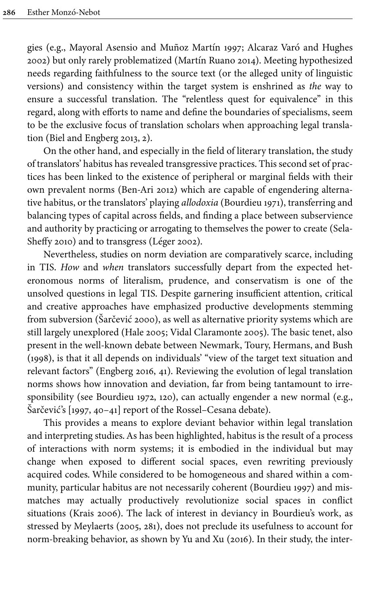gies (e.g., [Mayoral Asensio and Muñoz Martín 1997](#page-23-4); [Alcaraz Varó and Hughes](#page-21-0) [2002\)](#page-21-0) but only rarely problematized ([Martín Ruano 2014\)](#page-23-5). Meeting hypothesized needs regarding faithfulness to the source text (or the alleged unity of linguistic versions) and consistency within the target system is enshrined as *the* way to ensure a successful translation. The "relentless quest for equivalence" in this regard, along with efforts to name and define the boundaries of specialisms, seem to be the exclusive focus of translation scholars when approaching legal translation [\(Biel and Engberg 2013,](#page-22-10) 2).

On the other hand, and especially in the field of literary translation, the study of translators' habitus has revealed transgressive practices. This second set of practices has been linked to the existence of peripheral or marginal fields with their own prevalent norms ([Ben-Ari](#page-22-11) 2012) which are capable of engendering alternative habitus, or the translators' playing *allodoxia* [\(Bourdieu 1971\)](#page-22-12), transferring and balancing types of capital across fields, and finding a place between subservience and authority by practicing or arrogating to themselves the power to create [\(Sela-](#page-24-9)[Sheffy](#page-24-9) 2010) and to transgress [\(Léger 2002\)](#page-23-6).

Nevertheless, studies on norm deviation are comparatively scarce, including in TIS. *How* and *when* translators successfully depart from the expected heteronomous norms of literalism, prudence, and conservatism is one of the unsolved questions in legal TIS. Despite garnering insufficient attention, critical and creative approaches have emphasized productive developments stemming from subversion [\(Šarčević 2000\)](#page-24-10), as well as alternative priority systems which are still largely unexplored [\(Hale 2005;](#page-22-13) [Vidal Claramonte 2005](#page-24-11)). The basic tenet, also present in the well-known debate between [Newmark, Toury, Hermans, and Bush](#page-23-7) [\(1998\)](#page-23-7), is that it all depends on individuals' "view of the target text situation and relevant factors" ([Engberg 2016,](#page-22-14) 41). Reviewing the evolution of legal translation norms shows how innovation and deviation, far from being tantamount to irresponsibility (see [Bourdieu 1972,](#page-22-2) 120), can actually engender a new normal (e.g., Šarčević's [[1997,](#page-24-12) 40–41] report of the Rossel–Cesana debate).

This provides a means to explore deviant behavior within legal translation and interpreting studies. As has been highlighted, habitus is the result of a process of interactions with norm systems; it is embodied in the individual but may change when exposed to different social spaces, even rewriting previously acquired codes. While considered to be homogeneous and shared within a community, particular habitus are not necessarily coherent ([Bourdieu 1997](#page-22-3)) and mismatches may actually productively revolutionize social spaces in conflict situations [\(Krais 2006\)](#page-22-15). The lack of interest in deviancy in Bourdieu's work, as stressed by Meylaerts [\(2005](#page-23-8), 281), does not preclude its usefulness to account for norm-breaking behavior, as shown by [Yu and Xu \(2016\)](#page-25-2). In their study, the inter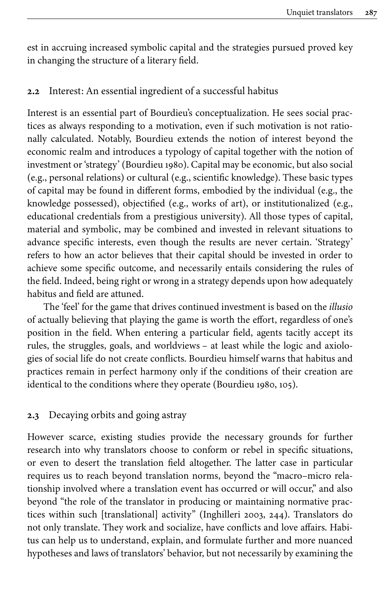est in accruing increased symbolic capital and the strategies pursued proved key in changing the structure of a literary field.

### **2.2** Interest: An essential ingredient of a successful habitus

Interest is an essential part of Bourdieu's conceptualization. He sees social practices as always responding to a motivation, even if such motivation is not rationally calculated. Notably, Bourdieu extends the notion of interest beyond the economic realm and introduces a typology of capital together with the notion of investment or 'strategy' ([Bourdieu 1980](#page-22-1)). Capital may be economic, but also social (e.g., personal relations) or cultural (e.g., scientific knowledge). These basic types of capital may be found in different forms, embodied by the individual (e.g., the knowledge possessed), objectified (e.g., works of art), or institutionalized (e.g., educational credentials from a prestigious university). All those types of capital, material and symbolic, may be combined and invested in relevant situations to advance specific interests, even though the results are never certain. 'Strategy' refers to how an actor believes that their capital should be invested in order to achieve some specific outcome, and necessarily entails considering the rules of the field. Indeed, being right or wrong in a strategy depends upon how adequately habitus and field are attuned.

The 'feel' for the game that drives continued investment is based on the *illusio* of actually believing that playing the game is worth the effort, regardless of one's position in the field. When entering a particular field, agents tacitly accept its rules, the struggles, goals, and worldviews – at least while the logic and axiologies of social life do not create conflicts. Bourdieu himself warns that habitus and practices remain in perfect harmony only if the conditions of their creation are identical to the conditions where they operate [\(Bourdieu 1980,](#page-22-1) 105).

### **2.3** Decaying orbits and going astray

However scarce, existing studies provide the necessary grounds for further research into why translators choose to conform or rebel in specific situations, or even to desert the translation field altogether. The latter case in particular requires us to reach beyond translation norms, beyond the "macro–micro relationship involved where a translation event has occurred or will occur," and also beyond "the role of the translator in producing or maintaining normative practices within such [translational] activity" [\(Inghilleri 2003,](#page-22-6) 244). Translators do not only translate. They work and socialize, have conflicts and love affairs. Habitus can help us to understand, explain, and formulate further and more nuanced hypotheses and laws of translators' behavior, but not necessarily by examining the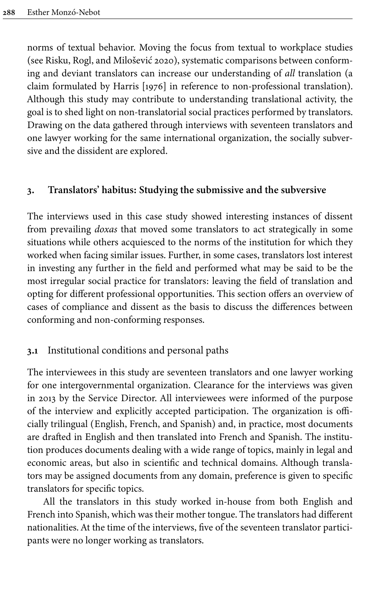norms of textual behavior. Moving the focus from textual to workplace studies (see [Risku, Rogl, and Milošević](#page-24-13) 2020), systematic comparisons between conforming and deviant translators can increase our understanding of *all* translation (a claim formulated by [Harris \[1976\]](#page-22-16) in reference to non-professional translation). Although this study may contribute to understanding translational activity, the goal is to shed light on non-translatorial social practices performed by translators. Drawing on the data gathered through interviews with seventeen translators and one lawyer working for the same international organization, the socially subversive and the dissident are explored.

### <span id="page-6-0"></span>**3. Translators' habitus: Studying the submissive and the subversive**

The interviews used in this case study showed interesting instances of dissent from prevailing *doxas* that moved some translators to act strategically in some situations while others acquiesced to the norms of the institution for which they worked when facing similar issues. Further, in some cases, translators lost interest in investing any further in the field and performed what may be said to be the most irregular social practice for translators: leaving the field of translation and opting for different professional opportunities. This section offers an overview of cases of compliance and dissent as the basis to discuss the differences between conforming and non-conforming responses.

### **3.1** Institutional conditions and personal paths

The interviewees in this study are seventeen translators and one lawyer working for one intergovernmental organization. Clearance for the interviews was given in 2013 by the Service Director. All interviewees were informed of the purpose of the interview and explicitly accepted participation. The organization is officially trilingual (English, French, and Spanish) and, in practice, most documents are drafted in English and then translated into French and Spanish. The institution produces documents dealing with a wide range of topics, mainly in legal and economic areas, but also in scientific and technical domains. Although translators may be assigned documents from any domain, preference is given to specific translators for specific topics.

All the translators in this study worked in-house from both English and French into Spanish, which was their mother tongue. The translators had different nationalities. At the time of the interviews, five of the seventeen translator participants were no longer working as translators.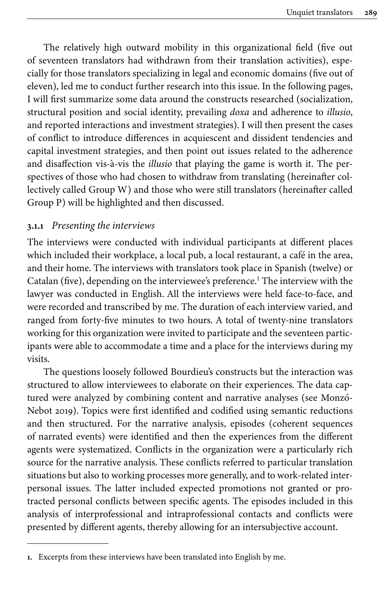The relatively high outward mobility in this organizational field (five out of seventeen translators had withdrawn from their translation activities), especially for those translators specializing in legal and economic domains (five out of eleven), led me to conduct further research into this issue. In the following pages, I will first summarize some data around the constructs researched (socialization, structural position and social identity, prevailing *doxa* and adherence to *illusio*, and reported interactions and investment strategies). I will then present the cases of conflict to introduce differences in acquiescent and dissident tendencies and capital investment strategies, and then point out issues related to the adherence and disaffection vis-à-vis the *illusio* that playing the game is worth it. The perspectives of those who had chosen to withdraw from translating (hereinafter collectively called Group W) and those who were still translators (hereinafter called Group P) will be highlighted and then discussed.

### **3.1.1** *Presenting the interviews*

The interviews were conducted with individual participants at different places which included their workplace, a local pub, a local restaurant, a café in the area, and their home. The interviews with translators took place in Spanish (twelve) or Catalan (five), depending on the interviewee's preference. <sup>1</sup> The interview with the lawyer was conducted in English. All the interviews were held face-to-face, and were recorded and transcribed by me. The duration of each interview varied, and ranged from forty-five minutes to two hours. A total of twenty-nine translators working for this organization were invited to participate and the seventeen participants were able to accommodate a time and a place for the interviews during my visits.

The questions loosely followed Bourdieu's constructs but the interaction was structured to allow interviewees to elaborate on their experiences. The data captured were analyzed by combining content and narrative analyses (see [Monzó-](#page-23-1)[Nebot](#page-23-1) 2019). Topics were first identified and codified using semantic reductions and then structured. For the narrative analysis, episodes (coherent sequences of narrated events) were identified and then the experiences from the different agents were systematized. Conflicts in the organization were a particularly rich source for the narrative analysis. These conflicts referred to particular translation situations but also to working processes more generally, and to work-related interpersonal issues. The latter included expected promotions not granted or protracted personal conflicts between specific agents. The episodes included in this analysis of interprofessional and intraprofessional contacts and conflicts were presented by different agents, thereby allowing for an intersubjective account.

**<sup>1.</sup>** Excerpts from these interviews have been translated into English by me.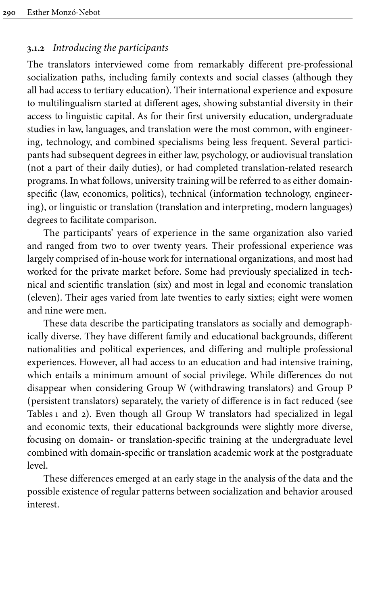# **3.1.2** *Introducing the participants*

The translators interviewed come from remarkably different pre-professional socialization paths, including family contexts and social classes (although they all had access to tertiary education). Their international experience and exposure to multilingualism started at different ages, showing substantial diversity in their access to linguistic capital. As for their first university education, undergraduate studies in law, languages, and translation were the most common, with engineering, technology, and combined specialisms being less frequent. Several participants had subsequent degrees in either law, psychology, or audiovisual translation (not a part of their daily duties), or had completed translation-related research programs. In what follows, university training will be referred to as either domainspecific (law, economics, politics), technical (information technology, engineering), or linguistic or translation (translation and interpreting, modern languages) degrees to facilitate comparison.

The participants' years of experience in the same organization also varied and ranged from two to over twenty years. Their professional experience was largely comprised of in-house work for international organizations, and most had worked for the private market before. Some had previously specialized in technical and scientific translation (six) and most in legal and economic translation (eleven). Their ages varied from late twenties to early sixties; eight were women and nine were men.

These data describe the participating translators as socially and demographically diverse. They have different family and educational backgrounds, different nationalities and political experiences, and differing and multiple professional experiences. However, all had access to an education and had intensive training, which entails a minimum amount of social privilege. While differences do not disappear when considering Group W (withdrawing translators) and Group P (persistent translators) separately, the variety of difference is in fact reduced (see [Tables](#page-9-0) 1 and [2\)](#page-9-1). Even though all Group W translators had specialized in legal and economic texts, their educational backgrounds were slightly more diverse, focusing on domain- or translation-specific training at the undergraduate level combined with domain-specific or translation academic work at the postgraduate level.

These differences emerged at an early stage in the analysis of the data and the possible existence of regular patterns between socialization and behavior aroused interest.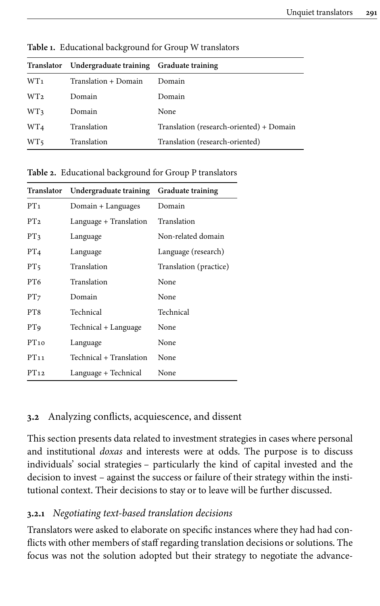|                 | Translator Undergraduate training Graduate training |                                          |
|-----------------|-----------------------------------------------------|------------------------------------------|
| WT <sub>1</sub> | Translation + Domain                                | Domain                                   |
| WT <sub>2</sub> | Domain                                              | Domain                                   |
| WT3             | Domain                                              | None                                     |
| WT <sub>4</sub> | Translation                                         | Translation (research-oriented) + Domain |
| WT5             | Translation                                         | Translation (research-oriented)          |

<span id="page-9-0"></span>**Table 1.** Educational background for Group W translators

<span id="page-9-1"></span>**Table 2.** Educational background for Group P translators

| Translator      | Undergraduate training  | <b>Graduate training</b> |  |
|-----------------|-------------------------|--------------------------|--|
| PT <sub>1</sub> | Domain + Languages      | Domain                   |  |
| PT <sub>2</sub> | Language + Translation  | Translation              |  |
| PT <sub>3</sub> | Language                | Non-related domain       |  |
| PT <sub>4</sub> | Language                | Language (research)      |  |
| PT <sub>5</sub> | Translation             | Translation (practice)   |  |
| PT <sub>6</sub> | Translation             | None                     |  |
| PT <sub>7</sub> | Domain                  | None                     |  |
| PT8             | Technical               | Technical                |  |
| PT9             | Technical + Language    | None                     |  |
| PT10            | Language                | None                     |  |
| PT11            | Technical + Translation | None                     |  |
| PT12            | Language + Technical    | None                     |  |

# **3.2** Analyzing conflicts, acquiescence, and dissent

This section presents data related to investment strategies in cases where personal and institutional *doxas* and interests were at odds. The purpose is to discuss individuals' social strategies – particularly the kind of capital invested and the decision to invest – against the success or failure of their strategy within the institutional context. Their decisions to stay or to leave will be further discussed.

# **3.2.1** *Negotiating text-based translation decisions*

Translators were asked to elaborate on specific instances where they had had conflicts with other members of staff regarding translation decisions or solutions. The focus was not the solution adopted but their strategy to negotiate the advance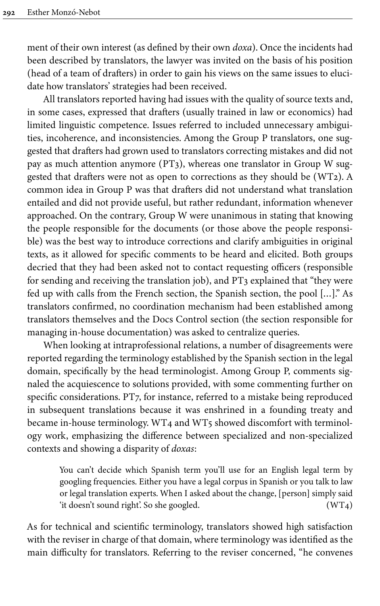ment of their own interest (as defined by their own *doxa*). Once the incidents had been described by translators, the lawyer was invited on the basis of his position (head of a team of drafters) in order to gain his views on the same issues to elucidate how translators' strategies had been received.

All translators reported having had issues with the quality of source texts and, in some cases, expressed that drafters (usually trained in law or economics) had limited linguistic competence. Issues referred to included unnecessary ambiguities, incoherence, and inconsistencies. Among the Group P translators, one suggested that drafters had grown used to translators correcting mistakes and did not pay as much attention anymore (PT3), whereas one translator in Group W suggested that drafters were not as open to corrections as they should be (WT2). A common idea in Group P was that drafters did not understand what translation entailed and did not provide useful, but rather redundant, information whenever approached. On the contrary, Group W were unanimous in stating that knowing the people responsible for the documents (or those above the people responsible) was the best way to introduce corrections and clarify ambiguities in original texts, as it allowed for specific comments to be heard and elicited. Both groups decried that they had been asked not to contact requesting officers (responsible for sending and receiving the translation job), and PT3 explained that "they were fed up with calls from the French section, the Spanish section, the pool […]." As translators confirmed, no coordination mechanism had been established among translators themselves and the Docs Control section (the section responsible for managing in-house documentation) was asked to centralize queries.

When looking at intraprofessional relations, a number of disagreements were reported regarding the terminology established by the Spanish section in the legal domain, specifically by the head terminologist. Among Group P, comments signaled the acquiescence to solutions provided, with some commenting further on specific considerations. PT7, for instance, referred to a mistake being reproduced in subsequent translations because it was enshrined in a founding treaty and became in-house terminology. WT4 and WT5 showed discomfort with terminology work, emphasizing the difference between specialized and non-specialized contexts and showing a disparity of *doxas*:

> You can't decide which Spanish term you'll use for an English legal term by googling frequencies. Either you have a legal corpus in Spanish or you talk to law or legal translation experts. When I asked about the change, [person] simply said 'it doesn't sound right'. So she googled. (WT4)

As for technical and scientific terminology, translators showed high satisfaction with the reviser in charge of that domain, where terminology was identified as the main difficulty for translators. Referring to the reviser concerned, "he convenes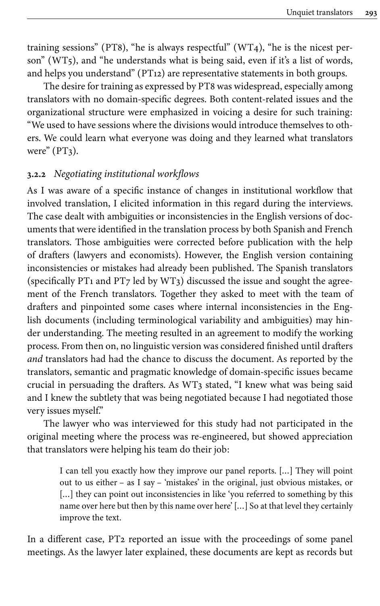training sessions" (PT8), "he is always respectful"  $(WT<sub>4</sub>)$ , "he is the nicest person" (WT5), and "he understands what is being said, even if it's a list of words, and helps you understand" (PT12) are representative statements in both groups.

The desire for training as expressed by PT8 was widespread, especially among translators with no domain-specific degrees. Both content-related issues and the organizational structure were emphasized in voicing a desire for such training: "We used to have sessions where the divisions would introduce themselves to others. We could learn what everyone was doing and they learned what translators were"  $(PT<sub>3</sub>)$ .

### <span id="page-11-0"></span>**3.2.2** *Negotiating institutional workflows*

As I was aware of a specific instance of changes in institutional workflow that involved translation, I elicited information in this regard during the interviews. The case dealt with ambiguities or inconsistencies in the English versions of documents that were identified in the translation process by both Spanish and French translators. Those ambiguities were corrected before publication with the help of drafters (lawyers and economists). However, the English version containing inconsistencies or mistakes had already been published. The Spanish translators (specifically PT1 and PT7 led by WT3) discussed the issue and sought the agreement of the French translators. Together they asked to meet with the team of drafters and pinpointed some cases where internal inconsistencies in the English documents (including terminological variability and ambiguities) may hinder understanding. The meeting resulted in an agreement to modify the working process. From then on, no linguistic version was considered finished until drafters *and* translators had had the chance to discuss the document. As reported by the translators, semantic and pragmatic knowledge of domain-specific issues became crucial in persuading the drafters. As WT3 stated, "I knew what was being said and I knew the subtlety that was being negotiated because I had negotiated those very issues myself."

The lawyer who was interviewed for this study had not participated in the original meeting where the process was re-engineered, but showed appreciation that translators were helping his team do their job:

I can tell you exactly how they improve our panel reports. […] They will point out to us either – as I say – 'mistakes' in the original, just obvious mistakes, or [...] they can point out inconsistencies in like 'you referred to something by this name over here but then by this name over here' […] So at that level they certainly improve the text.

In a different case, PT2 reported an issue with the proceedings of some panel meetings. As the lawyer later explained, these documents are kept as records but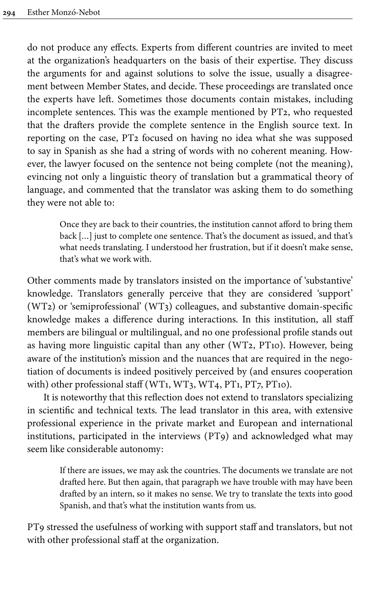do not produce any effects. Experts from different countries are invited to meet at the organization's headquarters on the basis of their expertise. They discuss the arguments for and against solutions to solve the issue, usually a disagreement between Member States, and decide. These proceedings are translated once the experts have left. Sometimes those documents contain mistakes, including incomplete sentences. This was the example mentioned by PT2, who requested that the drafters provide the complete sentence in the English source text. In reporting on the case, PT2 focused on having no idea what she was supposed to say in Spanish as she had a string of words with no coherent meaning. However, the lawyer focused on the sentence not being complete (not the meaning), evincing not only a linguistic theory of translation but a grammatical theory of language, and commented that the translator was asking them to do something they were not able to:

Once they are back to their countries, the institution cannot afford to bring them back […] just to complete one sentence. That's the document as issued, and that's what needs translating. I understood her frustration, but if it doesn't make sense, that's what we work with.

Other comments made by translators insisted on the importance of 'substantive' knowledge. Translators generally perceive that they are considered 'support' (WT2) or 'semiprofessional' (WT3) colleagues, and substantive domain-specific knowledge makes a difference during interactions. In this institution, all staff members are bilingual or multilingual, and no one professional profile stands out as having more linguistic capital than any other (WT2, PT10). However, being aware of the institution's mission and the nuances that are required in the negotiation of documents is indeed positively perceived by (and ensures cooperation with) other professional staff (WT1, WT3, WT4, PT1, PT7, PT10).

It is noteworthy that this reflection does not extend to translators specializing in scientific and technical texts. The lead translator in this area, with extensive professional experience in the private market and European and international institutions, participated in the interviews (PT9) and acknowledged what may seem like considerable autonomy:

> If there are issues, we may ask the countries. The documents we translate are not drafted here. But then again, that paragraph we have trouble with may have been drafted by an intern, so it makes no sense. We try to translate the texts into good Spanish, and that's what the institution wants from us.

PT9 stressed the usefulness of working with support staff and translators, but not with other professional staff at the organization.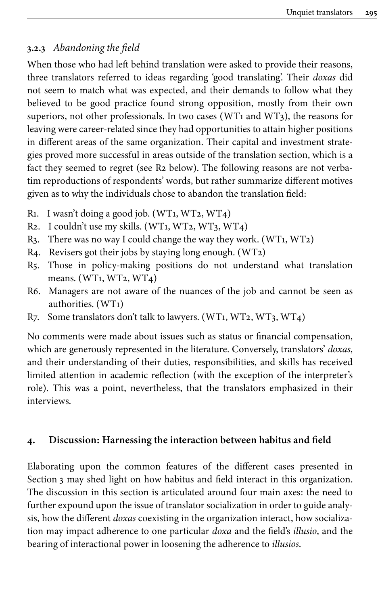# **3.2.3** *Abandoning the field*

When those who had left behind translation were asked to provide their reasons, three translators referred to ideas regarding 'good translating'. Their *doxas* did not seem to match what was expected, and their demands to follow what they believed to be good practice found strong opposition, mostly from their own superiors, not other professionals. In two cases (WT1 and WT3), the reasons for leaving were career-related since they had opportunities to attain higher positions in different areas of the same organization. Their capital and investment strategies proved more successful in areas outside of the translation section, which is a fact they seemed to regret (see R2 below). The following reasons are not verbatim reproductions of respondents' words, but rather summarize different motives given as to why the individuals chose to abandon the translation field:

- R1. I wasn't doing a good job. (WT1, WT2, WT4)
- R2. I couldn't use my skills.  $(WT_1, WT_2, WT_3, WT_4)$
- R3. There was no way I could change the way they work. (WT1, WT2)
- R4. Revisers got their jobs by staying long enough. (WT2)
- R5. Those in policy-making positions do not understand what translation means. (WT1, WT2, WT4)
- R6. Managers are not aware of the nuances of the job and cannot be seen as authorities. (WT1)
- R7. Some translators don't talk to lawyers. (WT1, WT2, WT3, WT4)

No comments were made about issues such as status or financial compensation, which are generously represented in the literature. Conversely, translators' *doxas*, and their understanding of their duties, responsibilities, and skills has received limited attention in academic reflection (with the exception of the interpreter's role). This was a point, nevertheless, that the translators emphasized in their interviews.

# **4. Discussion: Harnessing the interaction between habitus and field**

Elaborating upon the common features of the different cases presented in [Section](#page-6-0) 3 may shed light on how habitus and field interact in this organization. The discussion in this section is articulated around four main axes: the need to further expound upon the issue of translator socialization in order to guide analysis, how the different *doxas* coexisting in the organization interact, how socialization may impact adherence to one particular *doxa* and the field's *illusio*, and the bearing of interactional power in loosening the adherence to *illusios*.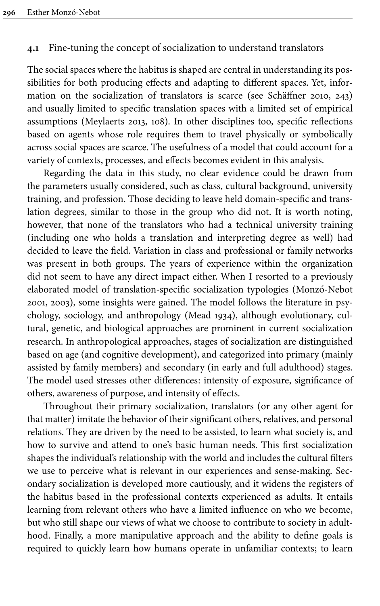## **4.1** Fine-tuning the concept of socialization to understand translators

The social spaces where the habitus is shaped are central in understanding its possibilities for both producing effects and adapting to different spaces. Yet, information on the socialization of translators is scarce (see [Schäffner 2010](#page-24-14), 243) and usually limited to specific translation spaces with a limited set of empirical assumptions ([Meylaerts 2013,](#page-23-9) 108). In other disciplines too, specific reflections based on agents whose role requires them to travel physically or symbolically across social spaces are scarce. The usefulness of a model that could account for a variety of contexts, processes, and effects becomes evident in this analysis.

Regarding the data in this study, no clear evidence could be drawn from the parameters usually considered, such as class, cultural background, university training, and profession. Those deciding to leave held domain-specific and translation degrees, similar to those in the group who did not. It is worth noting, however, that none of the translators who had a technical university training (including one who holds a translation and interpreting degree as well) had decided to leave the field. Variation in class and professional or family networks was present in both groups. The years of experience within the organization did not seem to have any direct impact either. When I resorted to a previously elaborated model of translation-specific socialization typologies ([Monzó-Nebot](#page-23-10) [2001](#page-23-10), [2003\)](#page-23-11), some insights were gained. The model follows the literature in psychology, sociology, and anthropology ([Mead 1934](#page-23-12)), although evolutionary, cultural, genetic, and biological approaches are prominent in current socialization research. In anthropological approaches, stages of socialization are distinguished based on age (and cognitive development), and categorized into primary (mainly assisted by family members) and secondary (in early and full adulthood) stages. The model used stresses other differences: intensity of exposure, significance of others, awareness of purpose, and intensity of effects.

Throughout their primary socialization, translators (or any other agent for that matter) imitate the behavior of their significant others, relatives, and personal relations. They are driven by the need to be assisted, to learn what society is, and how to survive and attend to one's basic human needs. This first socialization shapes the individual's relationship with the world and includes the cultural filters we use to perceive what is relevant in our experiences and sense-making. Secondary socialization is developed more cautiously, and it widens the registers of the habitus based in the professional contexts experienced as adults. It entails learning from relevant others who have a limited influence on who we become, but who still shape our views of what we choose to contribute to society in adulthood. Finally, a more manipulative approach and the ability to define goals is required to quickly learn how humans operate in unfamiliar contexts; to learn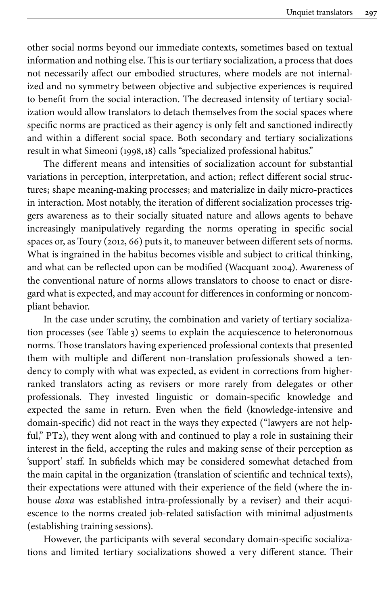other social norms beyond our immediate contexts, sometimes based on textual information and nothing else. This is our tertiary socialization, a process that does not necessarily affect our embodied structures, where models are not internalized and no symmetry between objective and subjective experiences is required to benefit from the social interaction. The decreased intensity of tertiary socialization would allow translators to detach themselves from the social spaces where specific norms are practiced as their agency is only felt and sanctioned indirectly and within a different social space. Both secondary and tertiary socializations result in what Simeoni ([1998](#page-24-0),18) calls "specialized professional habitus."

The different means and intensities of socialization account for substantial variations in perception, interpretation, and action; reflect different social structures; shape meaning-making processes; and materialize in daily micro-practices in interaction. Most notably, the iteration of different socialization processes triggers awareness as to their socially situated nature and allows agents to behave increasingly manipulatively regarding the norms operating in specific social spaces or, as Toury [\(2012](#page-24-15), 66) puts it, to maneuver between different sets of norms. What is ingrained in the habitus becomes visible and subject to critical thinking, and what can be reflected upon can be modified ([Wacquant 2004\)](#page-24-16). Awareness of the conventional nature of norms allows translators to choose to enact or disregard what is expected, and may account for differences in conforming or noncompliant behavior.

In the case under scrutiny, the combination and variety of tertiary socialization processes (see [Table](#page-16-0) 3) seems to explain the acquiescence to heteronomous norms. Those translators having experienced professional contexts that presented them with multiple and different non-translation professionals showed a tendency to comply with what was expected, as evident in corrections from higherranked translators acting as revisers or more rarely from delegates or other professionals. They invested linguistic or domain-specific knowledge and expected the same in return. Even when the field (knowledge-intensive and domain-specific) did not react in the ways they expected ("lawyers are not helpful," PT2), they went along with and continued to play a role in sustaining their interest in the field, accepting the rules and making sense of their perception as 'support' staff. In subfields which may be considered somewhat detached from the main capital in the organization (translation of scientific and technical texts), their expectations were attuned with their experience of the field (where the inhouse *doxa* was established intra-professionally by a reviser) and their acquiescence to the norms created job-related satisfaction with minimal adjustments (establishing training sessions).

However, the participants with several secondary domain-specific socializations and limited tertiary socializations showed a very different stance. Their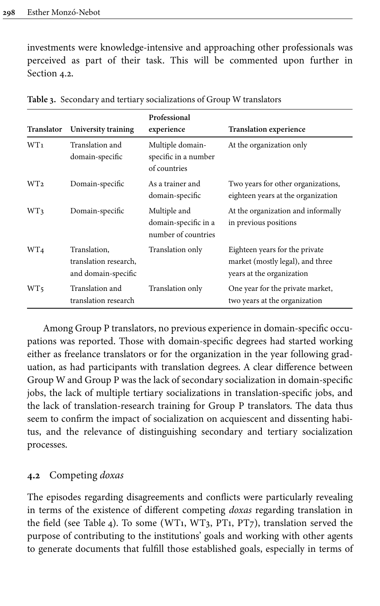investments were knowledge-intensive and approaching other professionals was perceived as part of their task. This will be commented upon further in [Section](#page-16-1) 4.2.

| Translator      | University training                                          | Professional<br>experience                                  | Translation experience                                                                          |
|-----------------|--------------------------------------------------------------|-------------------------------------------------------------|-------------------------------------------------------------------------------------------------|
| WT <sub>1</sub> | Translation and<br>domain-specific                           | Multiple domain-<br>specific in a number<br>of countries    | At the organization only                                                                        |
| WT <sub>2</sub> | Domain-specific                                              | As a trainer and<br>domain-specific                         | Two years for other organizations,<br>eighteen years at the organization                        |
| WT3             | Domain-specific                                              | Multiple and<br>domain-specific in a<br>number of countries | At the organization and informally<br>in previous positions                                     |
| WT <sub>4</sub> | Translation.<br>translation research.<br>and domain-specific | Translation only                                            | Eighteen years for the private<br>market (mostly legal), and three<br>years at the organization |
| WT <sub>5</sub> | Translation and<br>translation research                      | Translation only                                            | One year for the private market,<br>two years at the organization                               |

<span id="page-16-0"></span>**Table 3.** Secondary and tertiary socializations of Group W translators

Among Group P translators, no previous experience in domain-specific occupations was reported. Those with domain-specific degrees had started working either as freelance translators or for the organization in the year following graduation, as had participants with translation degrees. A clear difference between Group W and Group P was the lack of secondary socialization in domain-specific jobs, the lack of multiple tertiary socializations in translation-specific jobs, and the lack of translation-research training for Group P translators. The data thus seem to confirm the impact of socialization on acquiescent and dissenting habitus, and the relevance of distinguishing secondary and tertiary socialization processes.

# <span id="page-16-1"></span>**4.2** Competing *doxas*

The episodes regarding disagreements and conflicts were particularly revealing in terms of the existence of different competing *doxas* regarding translation in the field (see [Table](#page-17-0) 4). To some (WT1, WT3, PT1, PT7), translation served the purpose of contributing to the institutions' goals and working with other agents to generate documents that fulfill those established goals, especially in terms of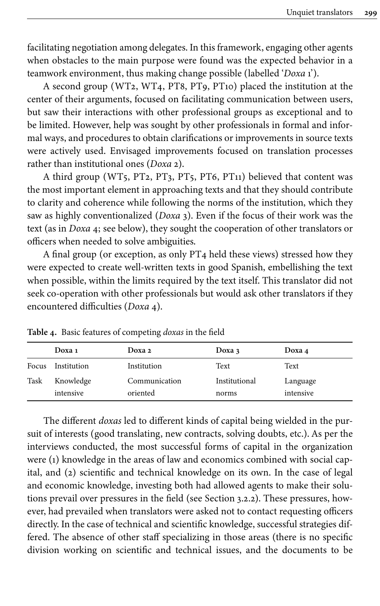facilitating negotiation among delegates. In this framework, engaging other agents when obstacles to the main purpose were found was the expected behavior in a teamwork environment, thus making change possible (labelled '*Doxa* 1').

A second group (WT2, WT4, PT8, PT9, PT10) placed the institution at the center of their arguments, focused on facilitating communication between users, but saw their interactions with other professional groups as exceptional and to be limited. However, help was sought by other professionals in formal and informal ways, and procedures to obtain clarifications or improvements in source texts were actively used. Envisaged improvements focused on translation processes rather than institutional ones (*Doxa* 2).

A third group (WT5, PT2, PT3, PT5, PT6, PT11) believed that content was the most important element in approaching texts and that they should contribute to clarity and coherence while following the norms of the institution, which they saw as highly conventionalized (*Doxa* 3). Even if the focus of their work was the text (as in *Doxa* 4; see below), they sought the cooperation of other translators or officers when needed to solve ambiguities.

A final group (or exception, as only PT4 held these views) stressed how they were expected to create well-written texts in good Spanish, embellishing the text when possible, within the limits required by the text itself. This translator did not seek co-operation with other professionals but would ask other translators if they encountered difficulties (*Doxa* 4).

|       | Doxa 1                 | Doxa 2                    | Doxa $3$               | Doxa 4                |
|-------|------------------------|---------------------------|------------------------|-----------------------|
| Focus | Institution            | Institution               | Text                   | Text                  |
| Task  | Knowledge<br>intensive | Communication<br>oriented | Institutional<br>norms | Language<br>intensive |

<span id="page-17-0"></span>**Table 4.** Basic features of competing *doxas* in the field

The different *doxas* led to different kinds of capital being wielded in the pursuit of interests (good translating, new contracts, solving doubts, etc.). As per the interviews conducted, the most successful forms of capital in the organization were (1) knowledge in the areas of law and economics combined with social capital, and (2) scientific and technical knowledge on its own. In the case of legal and economic knowledge, investing both had allowed agents to make their solutions prevail over pressures in the field (see [Section](#page-11-0) 3.2.2). These pressures, however, had prevailed when translators were asked not to contact requesting officers directly. In the case of technical and scientific knowledge, successful strategies differed. The absence of other staff specializing in those areas (there is no specific division working on scientific and technical issues, and the documents to be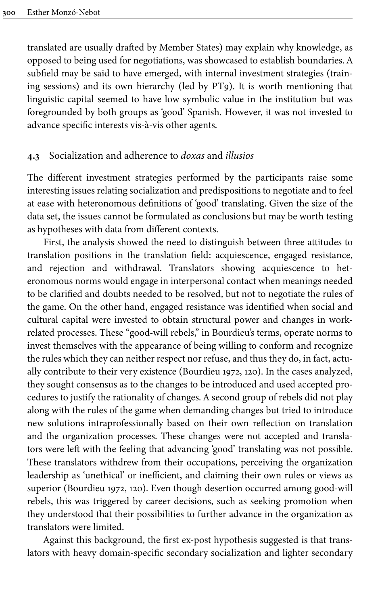translated are usually drafted by Member States) may explain why knowledge, as opposed to being used for negotiations, was showcased to establish boundaries. A subfield may be said to have emerged, with internal investment strategies (training sessions) and its own hierarchy (led by PT9). It is worth mentioning that linguistic capital seemed to have low symbolic value in the institution but was foregrounded by both groups as 'good' Spanish. However, it was not invested to advance specific interests vis-à-vis other agents.

### **4.3** Socialization and adherence to *doxas* and *illusios*

The different investment strategies performed by the participants raise some interesting issues relating socialization and predispositions to negotiate and to feel at ease with heteronomous definitions of 'good' translating. Given the size of the data set, the issues cannot be formulated as conclusions but may be worth testing as hypotheses with data from different contexts.

First, the analysis showed the need to distinguish between three attitudes to translation positions in the translation field: acquiescence, engaged resistance, and rejection and withdrawal. Translators showing acquiescence to heteronomous norms would engage in interpersonal contact when meanings needed to be clarified and doubts needed to be resolved, but not to negotiate the rules of the game. On the other hand, engaged resistance was identified when social and cultural capital were invested to obtain structural power and changes in workrelated processes. These "good-will rebels," in Bourdieu's terms, operate norms to invest themselves with the appearance of being willing to conform and recognize the rules which they can neither respect nor refuse, and thus they do, in fact, actually contribute to their very existence ([Bourdieu 1972](#page-22-2), 120). In the cases analyzed, they sought consensus as to the changes to be introduced and used accepted procedures to justify the rationality of changes. A second group of rebels did not play along with the rules of the game when demanding changes but tried to introduce new solutions intraprofessionally based on their own reflection on translation and the organization processes. These changes were not accepted and translators were left with the feeling that advancing 'good' translating was not possible. These translators withdrew from their occupations, perceiving the organization leadership as 'unethical' or inefficient, and claiming their own rules or views as superior [\(Bourdieu 1972](#page-22-2), 120). Even though desertion occurred among good-will rebels, this was triggered by career decisions, such as seeking promotion when they understood that their possibilities to further advance in the organization as translators were limited.

Against this background, the first ex-post hypothesis suggested is that translators with heavy domain-specific secondary socialization and lighter secondary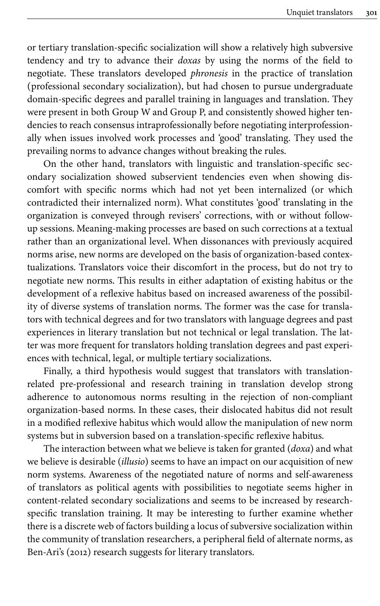or tertiary translation-specific socialization will show a relatively high subversive tendency and try to advance their *doxas* by using the norms of the field to negotiate. These translators developed *phronesis* in the practice of translation (professional secondary socialization), but had chosen to pursue undergraduate domain-specific degrees and parallel training in languages and translation. They were present in both Group W and Group P, and consistently showed higher tendencies to reach consensus intraprofessionally before negotiating interprofessionally when issues involved work processes and 'good' translating. They used the prevailing norms to advance changes without breaking the rules.

On the other hand, translators with linguistic and translation-specific secondary socialization showed subservient tendencies even when showing discomfort with specific norms which had not yet been internalized (or which contradicted their internalized norm). What constitutes 'good' translating in the organization is conveyed through revisers' corrections, with or without followup sessions. Meaning-making processes are based on such corrections at a textual rather than an organizational level. When dissonances with previously acquired norms arise, new norms are developed on the basis of organization-based contextualizations. Translators voice their discomfort in the process, but do not try to negotiate new norms. This results in either adaptation of existing habitus or the development of a reflexive habitus based on increased awareness of the possibility of diverse systems of translation norms. The former was the case for translators with technical degrees and for two translators with language degrees and past experiences in literary translation but not technical or legal translation. The latter was more frequent for translators holding translation degrees and past experiences with technical, legal, or multiple tertiary socializations.

Finally, a third hypothesis would suggest that translators with translationrelated pre-professional and research training in translation develop strong adherence to autonomous norms resulting in the rejection of non-compliant organization-based norms. In these cases, their dislocated habitus did not result in a modified reflexive habitus which would allow the manipulation of new norm systems but in subversion based on a translation-specific reflexive habitus.

The interaction between what we believe is taken for granted (*doxa*) and what we believe is desirable (*illusio*) seems to have an impact on our acquisition of new norm systems. Awareness of the negotiated nature of norms and self-awareness of translators as political agents with possibilities to negotiate seems higher in content-related secondary socializations and seems to be increased by researchspecific translation training. It may be interesting to further examine whether there is a discrete web of factors building a locus of subversive socialization within the community of translation researchers, a peripheral field of alternate norms, as [Ben-Ari's \(2012\)](#page-22-11) research suggests for literary translators.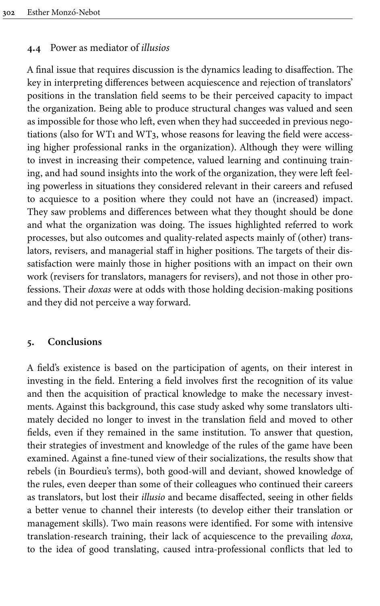### **4.4** Power as mediator of *illusios*

A final issue that requires discussion is the dynamics leading to disaffection. The key in interpreting differences between acquiescence and rejection of translators' positions in the translation field seems to be their perceived capacity to impact the organization. Being able to produce structural changes was valued and seen as impossible for those who left, even when they had succeeded in previous negotiations (also for WT1 and WT3, whose reasons for leaving the field were accessing higher professional ranks in the organization). Although they were willing to invest in increasing their competence, valued learning and continuing training, and had sound insights into the work of the organization, they were left feeling powerless in situations they considered relevant in their careers and refused to acquiesce to a position where they could not have an (increased) impact. They saw problems and differences between what they thought should be done and what the organization was doing. The issues highlighted referred to work processes, but also outcomes and quality-related aspects mainly of (other) translators, revisers, and managerial staff in higher positions. The targets of their dissatisfaction were mainly those in higher positions with an impact on their own work (revisers for translators, managers for revisers), and not those in other professions. Their *doxas* were at odds with those holding decision-making positions and they did not perceive a way forward.

### **5. Conclusions**

A field's existence is based on the participation of agents, on their interest in investing in the field. Entering a field involves first the recognition of its value and then the acquisition of practical knowledge to make the necessary investments. Against this background, this case study asked why some translators ultimately decided no longer to invest in the translation field and moved to other fields, even if they remained in the same institution. To answer that question, their strategies of investment and knowledge of the rules of the game have been examined. Against a fine-tuned view of their socializations, the results show that rebels (in Bourdieu's terms), both good-will and deviant, showed knowledge of the rules, even deeper than some of their colleagues who continued their careers as translators, but lost their *illusio* and became disaffected, seeing in other fields a better venue to channel their interests (to develop either their translation or management skills). Two main reasons were identified. For some with intensive translation-research training, their lack of acquiescence to the prevailing *doxa*, to the idea of good translating, caused intra-professional conflicts that led to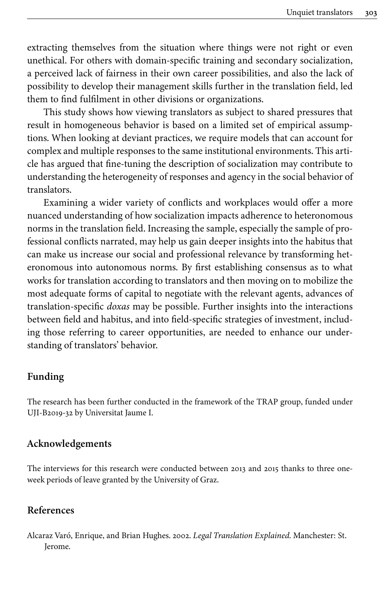extracting themselves from the situation where things were not right or even unethical. For others with domain-specific training and secondary socialization, a perceived lack of fairness in their own career possibilities, and also the lack of possibility to develop their management skills further in the translation field, led them to find fulfilment in other divisions or organizations.

This study shows how viewing translators as subject to shared pressures that result in homogeneous behavior is based on a limited set of empirical assumptions. When looking at deviant practices, we require models that can account for complex and multiple responses to the same institutional environments. This article has argued that fine-tuning the description of socialization may contribute to understanding the heterogeneity of responses and agency in the social behavior of translators.

Examining a wider variety of conflicts and workplaces would offer a more nuanced understanding of how socialization impacts adherence to heteronomous norms in the translation field. Increasing the sample, especially the sample of professional conflicts narrated, may help us gain deeper insights into the habitus that can make us increase our social and professional relevance by transforming heteronomous into autonomous norms. By first establishing consensus as to what works for translation according to translators and then moving on to mobilize the most adequate forms of capital to negotiate with the relevant agents, advances of translation-specific *doxas* may be possible. Further insights into the interactions between field and habitus, and into field-specific strategies of investment, including those referring to career opportunities, are needed to enhance our understanding of translators' behavior.

### **Funding**

<span id="page-21-1"></span>The research has been further conducted in the framework of the TRAP group, funded under [UJI-B2019-32](#page-21-1) by Universitat Jaume I.

#### **Acknowledgements**

The interviews for this research were conducted between 2013 and 2015 thanks to three oneweek periods of leave granted by the University of Graz.

### **References**

<span id="page-21-0"></span>Alcaraz Varó, Enrique, and Brian Hughes. 2002. *Legal Translation Explained*. Manchester: St. Jerome.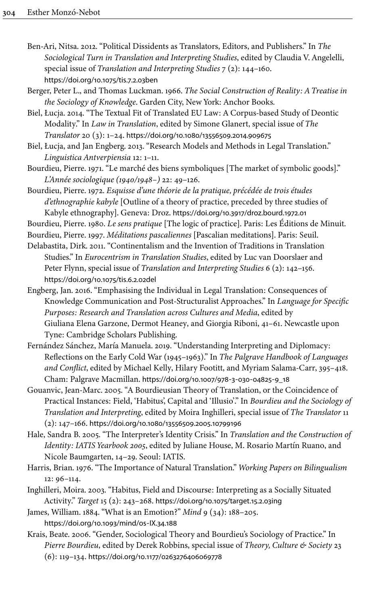- <span id="page-22-11"></span>Ben-Ari, Nitsa. 2012. "Political Dissidents as Translators, Editors, and Publishers." In *The Sociological Turn in Translation and Interpreting Studies*, edited by Claudia V. Angelelli, special issue of *Translation and Interpreting Studies* 7 (2): 144–160. [https://doi.org/10.1075/tis.7.2.03ben](https://doi.org/10.1075%2Ftis.7.2.03ben)
- <span id="page-22-5"></span>Berger, Peter L., and Thomas Luckman. 1966. *The Social Construction of Reality: A Treatise in the Sociology of Knowledge*. Garden City, New York: Anchor Books.
- <span id="page-22-9"></span>Biel, Łucja. 2014. "The Textual Fit of Translated EU Law: A Corpus-based Study of Deontic Modality." In *Law in Translation*, edited by Simone Glanert, special issue of *The Translator* 20 (3): 1–24. [https://doi.org/10.1080/13556509.2014.909675](https://doi.org/10.1080%2F13556509.2014.909675)
- <span id="page-22-10"></span>Biel, Łucja, and Jan Engberg. 2013. "Research Models and Methods in Legal Translation." *Linguistica Antverpiensia* 12: 1–11.
- <span id="page-22-12"></span>Bourdieu, Pierre. 1971. "Le marché des biens symboliques [The market of symbolic goods]." *L'Année sociologique (1940/1948–)* 22: 49–126.
- <span id="page-22-2"></span>Bourdieu, Pierre. 1972. *Esquisse d'une théorie de la pratique, précédée de trois études d'ethnographie kabyle* [Outline of a theory of practice, preceded by three studies of Kabyle ethnography]. Geneva: Droz. [https://doi.org/10.3917/droz.bourd.1972.01](https://doi.org/10.3917%2Fdroz.bourd.1972.01)

<span id="page-22-1"></span>Bourdieu, Pierre. 1980. *Le sens pratique* [The logic of practice]. Paris: Les Éditions de Minuit.

- <span id="page-22-3"></span>Bourdieu, Pierre. 1997. *Méditations pascaliennes* [Pascalian meditations]. Paris: Seuil.
- <span id="page-22-0"></span>Delabastita, Dirk. 2011. "Continentalism and the Invention of Traditions in Translation Studies." In *Eurocentrism in Translation Studies*, edited by Luc van Doorslaer and Peter Flynn, special issue of *Translation and Interpreting Studies* 6 (2): 142–156. [https://doi.org/10.1075/tis.6.2.02del](https://doi.org/10.1075%2Ftis.6.2.02del)
- <span id="page-22-14"></span>Engberg, Jan. 2016. "Emphasising the Individual in Legal Translation: Consequences of Knowledge Communication and Post-Structuralist Approaches." In *Language for Specific Purposes: Research and Translation across Cultures and Media*, edited by Giuliana Elena Garzone, Dermot Heaney, and Giorgia Riboni, 41–61. Newcastle upon Tyne: Cambridge Scholars Publishing.
- <span id="page-22-8"></span>Fernández Sánchez, María Manuela. 2019. "Understanding Interpreting and Diplomacy: Reflections on the Early Cold War (1945–1963)." In *The Palgrave Handbook of Languages and Conflict*, edited by Michael Kelly, Hilary Footitt, and Myriam Salama-Carr, 395–418. Cham: Palgrave Macmillan. [https://doi.org/10.1007/978](https://doi.org/10.1007%2F978-3-030-04825-9_18)‑3‑030‑04825‑9\_18
- <span id="page-22-7"></span>Gouanvic, Jean-Marc. 2005. "A Bourdieusian Theory of Translation, or the Coincidence of Practical Instances: Field, 'Habitus', Capital and 'Illusio'." In *Bourdieu and the Sociology of Translation and Interpreting*, edited by Moira Inghilleri, special issue of *The Translator* 11 (2): 147–166. [https://doi.org/10.1080/13556509.2005.10799196](https://doi.org/10.1080%2F13556509.2005.10799196)
- <span id="page-22-13"></span>Hale, Sandra B. 2005. "The Interpreter's Identity Crisis." In *Translation and the Construction of Identity: IATIS Yearbook 2005*, edited by Juliane House, M. Rosario Martín Ruano, and Nicole Baumgarten, 14–29. Seoul: IATIS.
- <span id="page-22-16"></span>Harris, Brian. 1976. "The Importance of Natural Translation." *Working Papers on Bilingualism* 12: 96–114.
- <span id="page-22-6"></span>Inghilleri, Moira. 2003. "Habitus, Field and Discourse: Interpreting as a Socially Situated Activity." *Target* 15 (2): 243–268. [https://doi.org/10.1075/target.15.2.03ing](https://doi.org/10.1075%2Ftarget.15.2.03ing)
- <span id="page-22-4"></span>James, William. 1884. "What is an Emotion?" *Mind* 9 (34): 188–205. [https://doi.org/10.1093/mind/os](https://doi.org/10.1093%2Fmind%2Fos-IX.34.188)‑IX.34.188
- <span id="page-22-15"></span>Krais, Beate. 2006. "Gender, Sociological Theory and Bourdieu's Sociology of Practice." In *Pierre Bourdieu*, edited by Derek Robbins, special issue of *Theory, Culture & Society* 23 (6): 119–134. [https://doi.org/10.1177/0263276406069778](https://doi.org/10.1177%2F0263276406069778)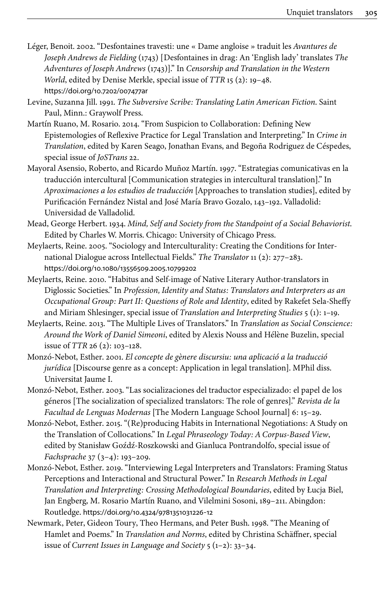- <span id="page-23-6"></span>Léger, Benoit. 2002. "Desfontaines travesti: une « Dame angloise » traduit les *Avantures de Joseph Andrews de Fielding* (1743) [Desfontaines in drag: An 'English lady' translates *The Adventures of Joseph Andrews* (1743)]." In *Censorship and Translation in the Western World*, edited by Denise Merkle, special issue of *TTR* 15 (2): 19–48. [https://doi.org/10.7202/007477ar](https://doi.org/10.7202%2F007477ar)
- <span id="page-23-0"></span>Levine, Suzanna Jill. 1991. *The Subversive Scribe: Translating Latin American Fiction*. Saint Paul, Minn.: Graywolf Press.
- <span id="page-23-5"></span>Martín Ruano, M. Rosario. 2014. "From Suspicion to Collaboration: Defining New Epistemologies of Reflexive Practice for Legal Translation and Interpreting." In *Crime in Translation*, edited by Karen Seago, Jonathan Evans, and Begoña Rodriguez de Céspedes, special issue of *JoSTrans* 22.
- <span id="page-23-4"></span>Mayoral Asensio, Roberto, and Ricardo Muñoz Martín. 1997. "Estrategias comunicativas en la traducción intercultural [Communication strategies in intercultural translation]." In *Aproximaciones a los estudios de traducción* [Approaches to translation studies], edited by Purificación Fernández Nistal and José María Bravo Gozalo, 143–192. Valladolid: Universidad de Valladolid.
- <span id="page-23-12"></span>Mead, George Herbert. 1934. *Mind, Self and Society from the Standpoint of a Social Behaviorist*. Edited by Charles W. Morris. Chicago: University of Chicago Press.
- <span id="page-23-8"></span>Meylaerts, Reine. 2005. "Sociology and Interculturality: Creating the Conditions for International Dialogue across Intellectual Fields." *The Translator* 11 (2): 277–283. [https://doi.org/10.1080/13556509.2005.10799202](https://doi.org/10.1080%2F13556509.2005.10799202)
- <span id="page-23-2"></span>Meylaerts, Reine. 2010. "Habitus and Self-image of Native Literary Author-translators in Diglossic Societies." In *Profession, Identity and Status: Translators and Interpreters as an Occupational Group: Part II: Questions of Role and Identity*, edited by Rakefet Sela-Sheffy and Miriam Shlesinger, special issue of *Translation and Interpreting Studies* 5 (1): 1–19.
- <span id="page-23-9"></span>Meylaerts, Reine. 2013. "The Multiple Lives of Translators." In *Translation as Social Conscience: Around the Work of Daniel Simeoni*, edited by Alexis Nouss and Hélène Buzelin, special issue of *TTR* 26 (2): 103–128.
- <span id="page-23-10"></span>Monzó-Nebot, Esther. 2001. *El concepte de gènere discursiu: una aplicació a la traducció jurídica* [Discourse genre as a concept: Application in legal translation]. MPhil diss. Universitat Jaume I.
- <span id="page-23-11"></span>Monzó-Nebot, Esther. 2003. "Las socializaciones del traductor especializado: el papel de los géneros [The socialization of specialized translators: The role of genres]." *Revista de la Facultad de Lenguas Modernas* [The Modern Language School Journal] 6: 15–29.
- <span id="page-23-3"></span>Monzó-Nebot, Esther. 2015. "(Re)producing Habits in International Negotiations: A Study on the Translation of Collocations." In *Legal Phraseology Today: A Corpus-Based View*, edited by Stanisław Goźdź-Roszkowski and Gianluca Pontrandolfo, special issue of *Fachsprache* 37 (3–4): 193–209.
- <span id="page-23-1"></span>Monzó-Nebot, Esther. 2019. "Interviewing Legal Interpreters and Translators: Framing Status Perceptions and Interactional and Structural Power." In *Research Methods in Legal Translation and Interpreting: Crossing Methodological Boundaries*, edited by Łucja Biel, Jan Engberg, M. Rosario Martín Ruano, and Vilelmini Sosoni, 189–211. Abingdon: Routledge. [https://doi.org/10.4324/9781351031226](https://doi.org/10.4324%2F9781351031226-12)‑12
- <span id="page-23-7"></span>Newmark, Peter, Gideon Toury, Theo Hermans, and Peter Bush. 1998. "The Meaning of Hamlet and Poems." In *Translation and Norms*, edited by Christina Schäffner, special issue of *Current Issues in Language and Society* 5 (1–2): 33–34.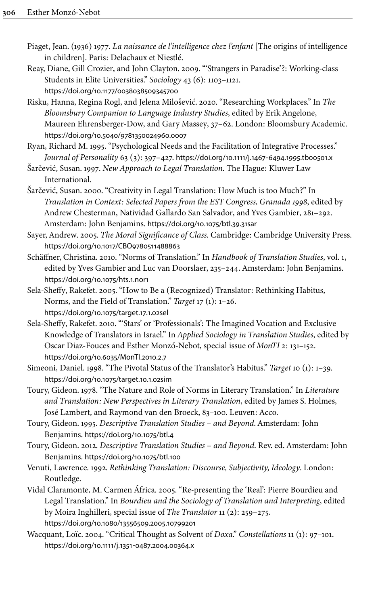- <span id="page-24-6"></span>Piaget, Jean. (1936) 1977. *La naissance de l'intelligence chez l'enfant* [The origins of intelligence in children]. Paris: Delachaux et Niestlé.
- <span id="page-24-3"></span>Reay, Diane, Gill Crozier, and John Clayton. 2009. "'Strangers in Paradise'?: Working-class Students in Elite Universities." *Sociology* 43 (6): 1103–1121. [https://doi.org/10.1177/0038038509345700](https://doi.org/10.1177%2F0038038509345700)
- <span id="page-24-13"></span>Risku, Hanna, Regina Rogl, and Jelena Milošević. 2020. "Researching Workplaces." In *The Bloomsbury Companion to Language Industry Studies*, edited by Erik Angelone, Maureen Ehrensberger-Dow, and Gary Massey, 37–62. London: Bloomsbury Academic. [https://doi.org/10.5040/9781350024960.0007](https://doi.org/10.5040%2F9781350024960.0007)
- <span id="page-24-5"></span>Ryan, Richard M. 1995. "Psychological Needs and the Facilitation of Integrative Processes." *Journal of Personality* 63 (3): 397–427. [https://doi.org/10.1111/j.1467](https://doi.org/10.1111%2Fj.1467-6494.1995.tb00501.x)‑6494.1995.tb00501.x

<span id="page-24-12"></span>Šarčević, Susan. 1997. *New Approach to Legal Translation*. The Hague: Kluwer Law International.

- <span id="page-24-10"></span>Šarčević, Susan. 2000. "Creativity in Legal Translation: How Much is too Much?" In *Translation in Context: Selected Papers from the EST Congress, Granada 1998*, edited by Andrew Chesterman, Natividad Gallardo San Salvador, and Yves Gambier, 281–292. Amsterdam: John Benjamins. [https://doi.org/10.1075/btl.39.31sar](https://doi.org/10.1075%2Fbtl.39.31sar)
- <span id="page-24-4"></span>Sayer, Andrew. 2005. *The Moral Significance of Class*. Cambridge: Cambridge University Press. [https://doi.org/10.1017/CBO9780511488863](https://doi.org/10.1017%2FCBO9780511488863)
- <span id="page-24-14"></span>Schäffner, Christina. 2010. "Norms of Translation." In *Handbook of Translation Studies*, vol. 1, edited by Yves Gambier and Luc van Doorslaer, 235–244. Amsterdam: John Benjamins. [https://doi.org/10.1075/hts.1.nor1](https://doi.org/10.1075%2Fhts.1.nor1)
- <span id="page-24-7"></span>Sela-Sheffy, Rakefet. 2005. "How to Be a (Recognized) Translator: Rethinking Habitus, Norms, and the Field of Translation." *Target* 17 (1): 1–26. [https://doi.org/10.1075/target.17.1.02sel](https://doi.org/10.1075%2Ftarget.17.1.02sel)
- <span id="page-24-9"></span>Sela-Sheffy, Rakefet. 2010. "'Stars' or 'Professionals': The Imagined Vocation and Exclusive Knowledge of Translators in Israel." In *Applied Sociology in Translation Studies*, edited by Oscar Diaz-Fouces and Esther Monzó-Nebot, special issue of *MonTI* 2: 131–152. [https://doi.org/10.6035/MonTI.2010.2.7](https://doi.org/10.6035%2FMonTI.2010.2.7)
- <span id="page-24-0"></span>Simeoni, Daniel. 1998. "The Pivotal Status of the Translator's Habitus." *Target* 10 (1): 1–39. [https://doi.org/10.1075/target.10.1.02sim](https://doi.org/10.1075%2Ftarget.10.1.02sim)
- <span id="page-24-1"></span>Toury, Gideon. 1978. "The Nature and Role of Norms in Literary Translation." In *Literature and Translation: New Perspectives in Literary Translation*, edited by James S. Holmes, José Lambert, and Raymond van den Broeck, 83–100. Leuven: Acco.
- <span id="page-24-8"></span>Toury, Gideon. 1995. *Descriptive Translation Studies – and Beyond*. Amsterdam: John Benjamins. [https://doi.org/10.1075/btl.4](https://doi.org/10.1075%2Fbtl.4)
- <span id="page-24-15"></span>Toury, Gideon. 2012. *Descriptive Translation Studies – and Beyond*. Rev. ed. Amsterdam: John Benjamins. [https://doi.org/10.1075/btl.100](https://doi.org/10.1075%2Fbtl.100)
- <span id="page-24-2"></span>Venuti, Lawrence. 1992. *Rethinking Translation: Discourse, Subjectivity, Ideology*. London: Routledge.
- <span id="page-24-11"></span>Vidal Claramonte, M. Carmen África. 2005. "Re-presenting the 'Real': Pierre Bourdieu and Legal Translation." In *Bourdieu and the Sociology of Translation and Interpreting*, edited by Moira Inghilleri, special issue of *The Translator* 11 (2): 259–275. [https://doi.org/10.1080/13556509.2005.10799201](https://doi.org/10.1080%2F13556509.2005.10799201)
- <span id="page-24-16"></span>Wacquant, Loïc. 2004. "Critical Thought as Solvent of *Doxa*." *Constellations* 11 (1): 97–101. [https://doi.org/10.1111/j.1351](https://doi.org/10.1111%2Fj.1351-0487.2004.00364.x)‑0487.2004.00364.x